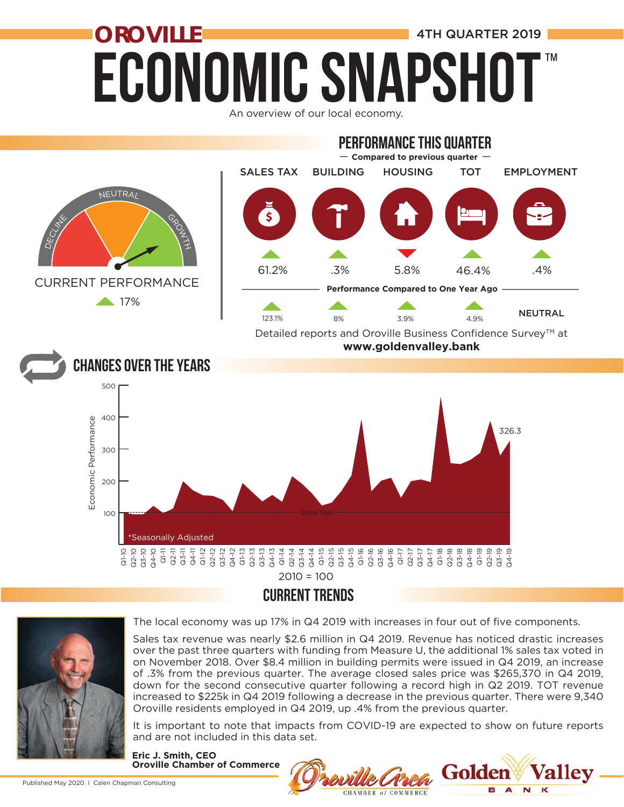### **ECONOMIC SNAPSH OROVILLE External and SECONDIAL ALGO AND A 4TH QUARTER 2019** ™

An overview of our local economy.





The local economy was up 17% in Q4 2019 with increases in four out of five components.

Sales tax revenue was nearly \$2.6 million in Q4 2019. Revenue has noticed drastic increases over the past three quarters with funding from Measure U, the additional 1% sales tax voted in on November 2018. Over \$8.4 million in building permits were issued in Q4 2019, an increase of .3% from the previous quarter. The average closed sales price was \$265,370 in Q4 2019, down for the second consecutive quarter following a record high in Q2 2019. TOT revenue increased to \$225k in Q4 2019 following a decrease in the previous quarter. There were 9,340 Oroville residents employed in Q4 2019, up .4% from the previous quarter.

It is important to note that impacts from COVID-19 are expected to show on future reports and are not included in this data set.

**Eric J. Smith, CEO Oroville Chamber of Commerce**

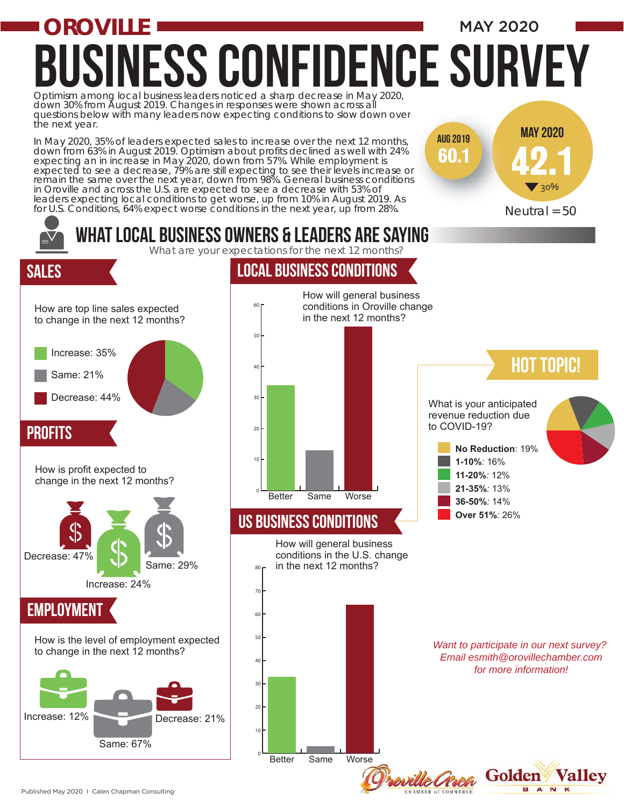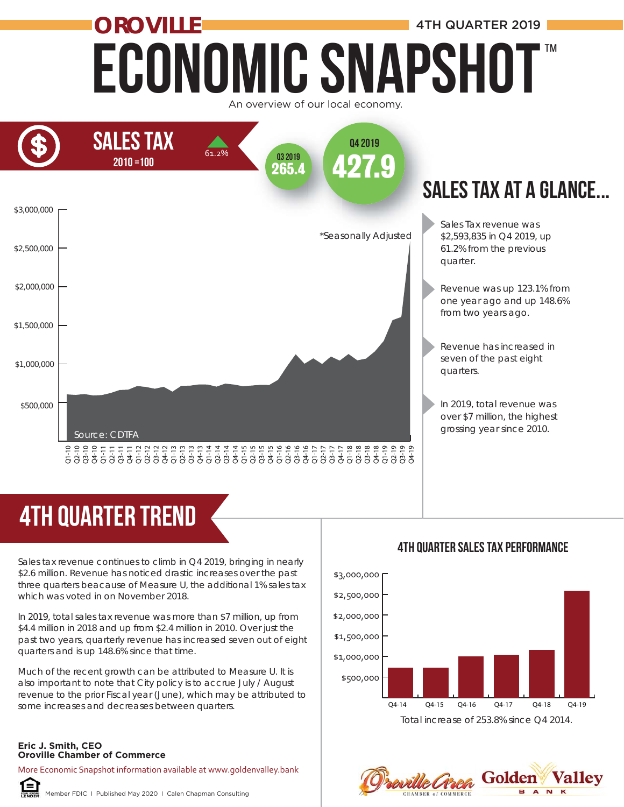### Economic Snapshot **OROVILLE ALL AND A 4TH QUARTER 2019** ™





# 4th quarter trend

Sales tax revenue continues to climb in Q4 2019, bringing in nearly \$2.6 million. Revenue has noticed drastic increases over the past three quarters beacause of Measure U, the additional 1% sales tax which was voted in on November 2018. **Provide Chamber of Commerce**<br>
Sales tax revenue continues to clim<br>
Sales tax revenue continues to clim<br>
Sales tax revenue continues to clim<br>
three quarters beacause of Measu<br>
which was voted in on November :<br>
In 2019, tot

In 2019, total sales tax revenue was more than \$7 million, up from \$4.4 million in 2018 and up from \$2.4 million in 2010. Over just the past two years, quarterly revenue has increased seven out of eight quarters and is up 148.6% since that time.

Much of the recent growth can be attributed to Measure U. It is also important to note that City policy is to accrue July / August revenue to the prior Fiscal year (June), which may be attributed to some increases and decreases between quarters.

### **Eric J. Smith, CEO**

More Economic Snapshot information available at www.goldenvalley.bank



Member FDIC I Published May 2020 I Calen Chapman Consulting

### 4th QUarter Sales Tax Performance



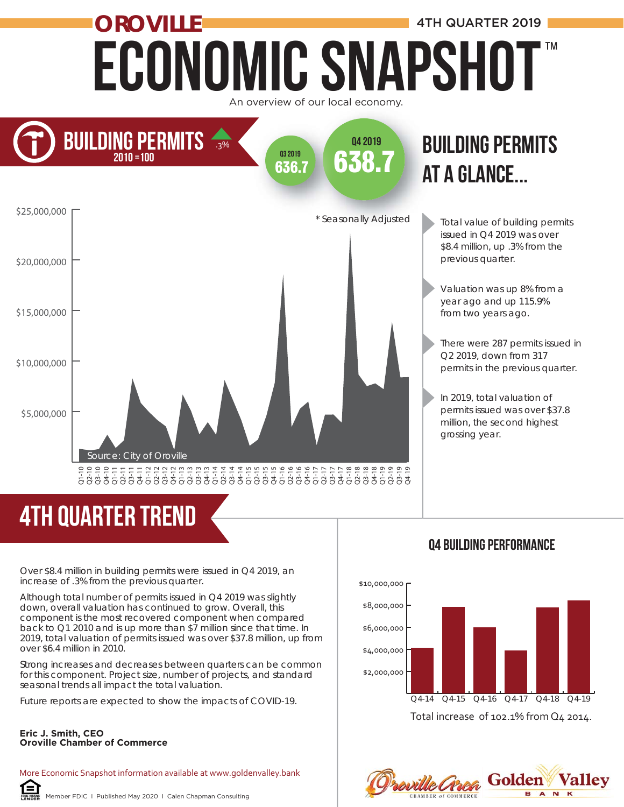### ECONOMIC SNAPSHOT **OROVILLE ALL AND ALL AND A 4TH QUARTER 2019** An overview of our local economy. ™



### at a glance... at **BUILDING PERMITS**

Total value of building permits issued in Q4 2019 was over \$8.4 million, up .3% from the previous quarter.

Valuation was up 8% from a year ago and up 115.9% from two years ago.

There were 287 permits issued in Q2 2019, down from 317 permits in the previous quarter.

In 2019, total valuation of permits issued was over \$37.8 million, the second highest grossing year.

## 4th quarter trend

Over \$8.4 million in building permits were issued in Q4 2019, an increase of .3% from the previous quarter.

Although total number of permits issued in Q4 2019 was slightly down, overall valuation has continued to grow. Overall, this component is the most recovered component when compared back to Q1 2010 and is up more than \$7 million since that time. In 2019, total valuation of permits issued was over \$37.8 million, up from over \$6.4 million in 2010.

Strong increases and decreases between quarters can be common for this component. Project size, number of projects, and standard seasonal trends all impact the total valuation.

Future reports are expected to show the impacts of COVID-19.

#### **Eric J. Smith, CEO Oroville Chamber of Commerce**

More Economic Snapshot information available at www.goldenvalley.bank

#### Q4 Building performance



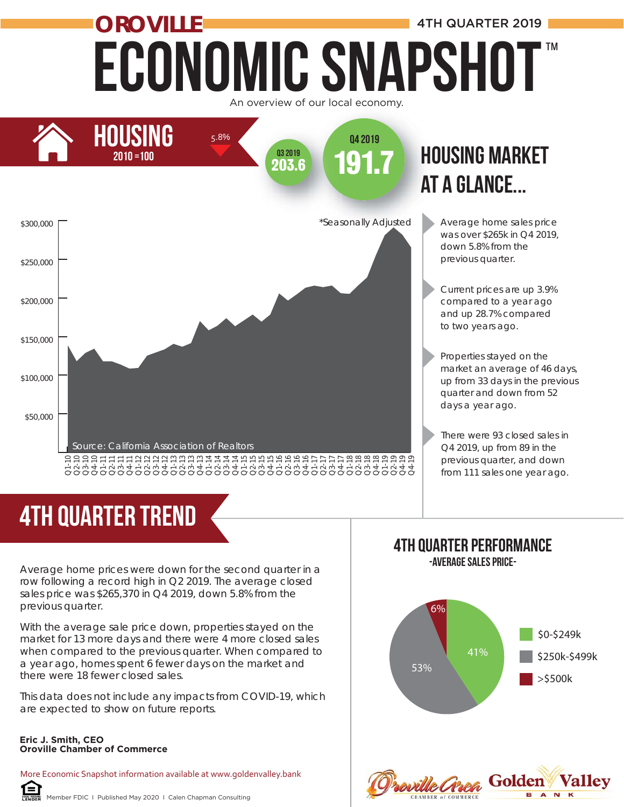### Economic Snapshot **OROVILLE ALL AND A 4TH QUARTER 2019** ™





# at a glance...

- Average home sales price was over \$265k in Q4 2019, down 5.8% from the previous quarter.
- Current prices are up 3.9% compared to a year ago and up 28.7% compared to two years ago.

Properties stayed on the market an average of 46 days, up from 33 days in the previous quarter and down from 52 days a year ago.

There were 93 closed sales in Q4 2019, up from 89 in the previous quarter, and down from 111 sales one year ago.

# 4TH quarter trend

Average home prices were down for the second quarter in a row following a record high in Q2 2019. The average closed sales price was \$265,370 in Q4 2019, down 5.8% from the previous quarter.

With the average sale price down, properties stayed on the market for 13 more days and there were 4 more closed sales when compared to the previous quarter. When compared to a year ago, homes spent 6 fewer days on the market and there were 18 fewer closed sales.

This data does not include any impacts from COVID-19, which are expected to show on future reports.

#### **Eric J. Smith, CEO Oroville Chamber of Commerce**

More Economic Snapshot information available at www.goldenvalley.bank

#### Member FDIC I Published May 2020 I Calen Chapman Consulting

#### 4TH Quarter Performance -Average Sales Price-

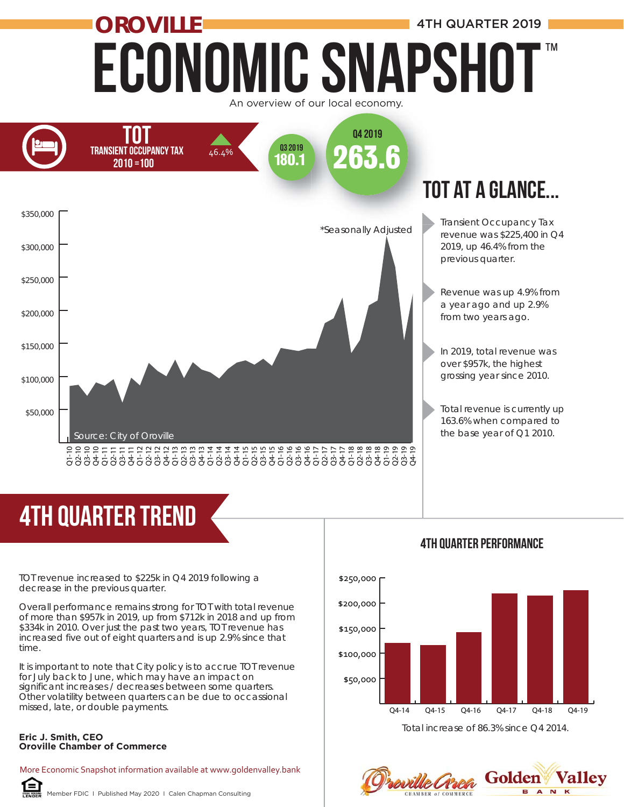### Economic Snapshot **OROVILLE And All Account 2019 4TH QUARTER 2019** ™

An overview of our local economy.



# 4th quarter trend

TOT revenue increased to \$225k in Q4 2019 following a decrease in the previous quarter.

Overall performance remains strong for TOT with total revenue of more than \$957k in 2019, up from \$712k in 2018 and up from \$334k in 2010. Over just the past two years, TOT revenue has increased five out of eight quarters and is up 2.9% since that time.

It is important to note that City policy is to accrue TOT revenue for July back to June, which may have an impact on significant increases / decreases between some quarters. Other volatility between quarters can be due to occassional missed, late, or double payments.

#### **Eric J. Smith, CEO Oroville Chamber of Commerce**

More Economic Snapshot information available at www.goldenvalley.bank



Member FDIC I Published May 2020 I Calen Chapman Consulting



#### Total increase of 86.3% since Q4 2014.

**roville Crrea** Golden valley A<sub>N</sub>

#### 4th Quarter Performance